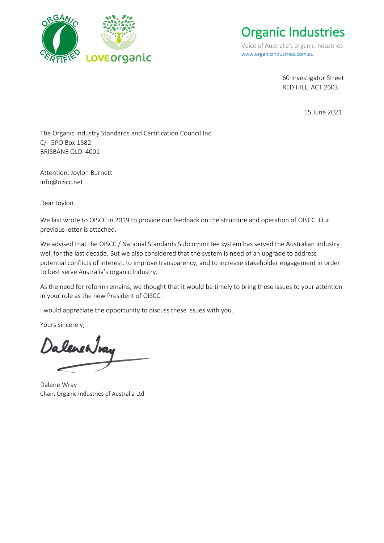

[Organic Industries](https://organicindustries.com.au/)

Voice of Australia's organic industries [www.organicindustries.com.au](http://www.organicindustries.com.au/)

> 60 Investigator Street RED HILL ACT 2603

> > 15 June 2021

The Organic Industry Standards and Certification Council Inc. C/- GPO Box 1582 BRISBANE QLD 4001

Attention: Joylon Burnett info@oiscc.net

Dear Joylon

We last wrote to OISCC in 2019 to provide our feedback on the structure and operation of OISCC. Our previous letter is attached.

We advised that the OISCC / National Standards Subcommittee system has served the Australian industry well for the last decade. But we also considered that the system is need of an upgrade to address potential conflicts of interest, to improve transparency, and to increase stakeholder engagement in order to best serve Australia's organic Industry.

As the need for reform remains, we thought that it would be timely to bring these issues to your attention in your role as the new President of OISCC.

I would appreciate the opportunity to discuss these issues with you.

Yours sincerely,

DalenenJvan

Dalene Wray Chair, Organic Industries of Australia Ltd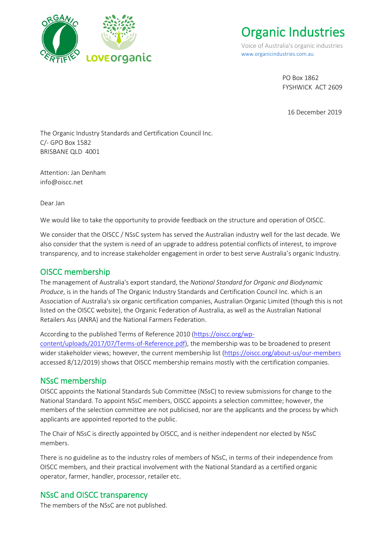

[Organic Industries](https://organicindustries.com.au/)

Voice of Australia's organic industries [www.organicindustries.com.au](http://www.organicindustries.com.au/)

> PO Box 1862 FYSHWICK ACT 2609

16 December 2019

The Organic Industry Standards and Certification Council Inc. C/- GPO Box 1582 BRISBANE QLD 4001

Attention: Jan Denham info@oiscc.net

Dear Jan

We would like to take the opportunity to provide feedback on the structure and operation of OISCC.

We consider that the OISCC / NSsC system has served the Australian industry well for the last decade. We also consider that the system is need of an upgrade to address potential conflicts of interest, to improve transparency, and to increase stakeholder engagement in order to best serve Australia's organic Industry.

#### OISCC membership

The management of Australia's export standard, the *National Standard for Organic and Biodynamic Produce*, is in the hands of The Organic Industry Standards and Certification Council Inc. which is an Association of Australia's six organic certification companies, Australian Organic Limited (though this is not listed on the OISCC website), the Organic Federation of Australia, as well as the Australian National Retailers Ass (ANRA) and the National Farmers Federation.

According to the published Terms of Reference 2010 [\(https://oiscc.org/wp-](https://oiscc.org/wp-content/uploads/2017/07/Terms-of-Reference.pdf)

[content/uploads/2017/07/Terms-of-Reference.pdf\)](https://oiscc.org/wp-content/uploads/2017/07/Terms-of-Reference.pdf), the membership was to be broadened to present wider stakeholder views; however, the current membership list [\(https://oiscc.org/about-us/our-members](https://oiscc.org/about-us/our-members) accessed 8/12/2019) shows that OISCC membership remains mostly with the certification companies.

#### NSsC membership

OISCC appoints the National Standards Sub Committee (NSsC) to review submissions for change to the National Standard. To appoint NSsC members, OISCC appoints a selection committee; however, the members of the selection committee are not publicised, nor are the applicants and the process by which applicants are appointed reported to the public.

The Chair of NSsC is directly appointed by OISCC, and is neither independent nor elected by NSsC members.

There is no guideline as to the industry roles of members of NSsC, in terms of their independence from OISCC members, and their practical involvement with the National Standard as a certified organic operator, farmer, handler, processor, retailer etc.

# NSsC and OISCC transparency

The members of the NSsC are not published.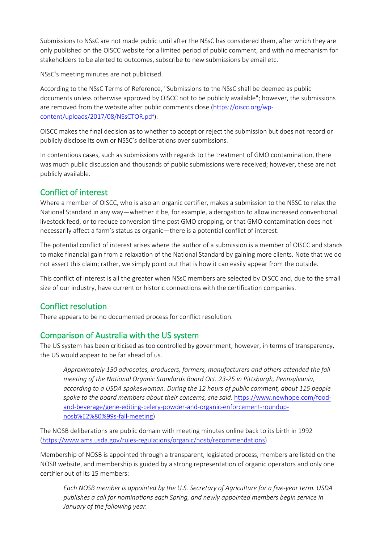Submissions to NSsC are not made public until after the NSsC has considered them, after which they are only published on the OISCC website for a limited period of public comment, and with no mechanism for stakeholders to be alerted to outcomes, subscribe to new submissions by email etc.

NSsC's meeting minutes are not publicised.

According to the NSsC Terms of Reference, "Submissions to the NSsC shall be deemed as public documents unless otherwise approved by OISCC not to be publicly available"; however, the submissions are removed from the website after public comments close [\(https://oiscc.org/wp](https://oiscc.org/wp-content/uploads/2017/08/NSsCTOR.pdf)[content/uploads/2017/08/NSsCTOR.pdf\)](https://oiscc.org/wp-content/uploads/2017/08/NSsCTOR.pdf).

OISCC makes the final decision as to whether to accept or reject the submission but does not record or publicly disclose its own or NSSC's deliberations over submissions.

In contentious cases, such as submissions with regards to the treatment of GMO contamination, there was much public discussion and thousands of public submissions were received; however, these are not publicly available.

### Conflict of interest

Where a member of OISCC, who is also an organic certifier, makes a submission to the NSSC to relax the National Standard in any way—whether it be, for example, a derogation to allow increased conventional livestock feed, or to reduce conversion time post GMO cropping, or that GMO contamination does not necessarily affect a farm's status as organic—there is a potential conflict of interest.

The potential conflict of interest arises where the author of a submission is a member of OISCC and stands to make financial gain from a relaxation of the National Standard by gaining more clients. Note that we do not assert this claim; rather, we simply point out that is how it can easily appear from the outside.

This conflict of interest is all the greater when NSsC members are selected by OISCC and, due to the small size of our industry, have current or historic connections with the certification companies.

# Conflict resolution

There appears to be no documented process for conflict resolution.

#### Comparison of Australia with the US system

The US system has been criticised as too controlled by government; however, in terms of transparency, the US would appear to be far ahead of us.

*Approximately 150 advocates, producers, farmers, manufacturers and others attended the fall meeting of the National Organic Standards Board Oct. 23-25 in Pittsburgh, Pennsylvania, according to a USDA spokeswoman. During the 12 hours of public comment, about 115 people spoke to the board members about their concerns, she said.* [https://www.newhope.com/food](https://www.newhope.com/food-and-beverage/gene-editing-celery-powder-and-organic-enforcement-roundup-nosb%E2%80%99s-fall-meeting)[and-beverage/gene-editing-celery-powder-and-organic-enforcement-roundup](https://www.newhope.com/food-and-beverage/gene-editing-celery-powder-and-organic-enforcement-roundup-nosb%E2%80%99s-fall-meeting)[nosb%E2%80%99s-fall-meeting\)](https://www.newhope.com/food-and-beverage/gene-editing-celery-powder-and-organic-enforcement-roundup-nosb%E2%80%99s-fall-meeting)

The NOSB deliberations are public domain with meeting minutes online back to its birth in 1992 [\(https://www.ams.usda.gov/rules-regulations/organic/nosb/recommendations\)](https://www.ams.usda.gov/rules-regulations/organic/nosb/recommendations)

Membership of NOSB is appointed through a transparent, legislated process, members are listed on the NOSB website, and membership is guided by a strong representation of organic operators and only one certifier out of its 15 members:

*Each NOSB member is appointed by the U.S. Secretary of Agriculture for a five-year term. USDA publishes a call for nominations each Spring, and newly appointed members begin service in January of the following year.*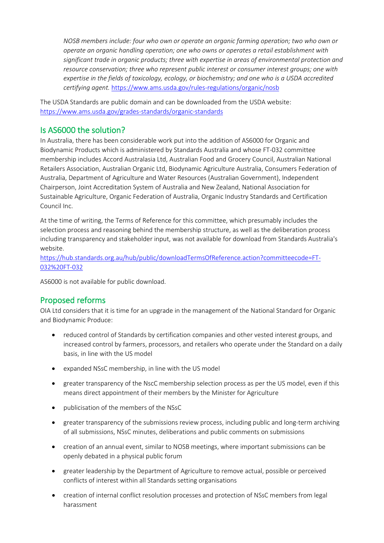*NOSB members include: four who own or operate an organic farming operation; two who own or operate an organic handling operation; one who owns or operates a retail establishment with significant trade in organic products; three with expertise in areas of environmental protection and resource conservation; three who represent public interest or consumer interest groups; one with expertise in the fields of toxicology, ecology, or biochemistry; and one who is a USDA accredited certifying agent.* <https://www.ams.usda.gov/rules-regulations/organic/nosb>

The USDA Standards are public domain and can be downloaded from the USDA website: <https://www.ams.usda.gov/grades-standards/organic-standards>

# Is AS6000 the solution?

In Australia, there has been considerable work put into the addition of AS6000 for Organic and Biodynamic Products which is administered by Standards Australia and whose FT-032 committee membership includes Accord Australasia Ltd, Australian Food and Grocery Council, Australian National Retailers Association, Australian Organic Ltd, Biodynamic Agriculture Australia, Consumers Federation of Australia, Department of Agriculture and Water Resources (Australian Government), Independent Chairperson, Joint Accreditation System of Australia and New Zealand, National Association for Sustainable Agriculture, Organic Federation of Australia, Organic Industry Standards and Certification Council Inc.

At the time of writing, the Terms of Reference for this committee, which presumably includes the selection process and reasoning behind the membership structure, as well as the deliberation process including transparency and stakeholder input, was not available for download from Standards Australia's website.

[https://hub.standards.org.au/hub/public/downloadTermsOfReference.action?committeecode=FT-](https://hub.standards.org.au/hub/public/downloadTermsOfReference.action?committeecode=FT-032%20FT-032)[032%20FT-032](https://hub.standards.org.au/hub/public/downloadTermsOfReference.action?committeecode=FT-032%20FT-032)

AS6000 is not available for public download.

# Proposed reforms

OIA Ltd considers that it is time for an upgrade in the management of the National Standard for Organic and Biodynamic Produce:

- reduced control of Standards by certification companies and other vested interest groups, and increased control by farmers, processors, and retailers who operate under the Standard on a daily basis, in line with the US model
- expanded NSsC membership, in line with the US model
- greater transparency of the NscC membership selection process as per the US model, even if this means direct appointment of their members by the Minister for Agriculture
- publicisation of the members of the NSsC
- greater transparency of the submissions review process, including public and long-term archiving of all submissions, NSsC minutes, deliberations and public comments on submissions
- creation of an annual event, similar to NOSB meetings, where important submissions can be openly debated in a physical public forum
- greater leadership by the Department of Agriculture to remove actual, possible or perceived conflicts of interest within all Standards setting organisations
- creation of internal conflict resolution processes and protection of NSsC members from legal harassment